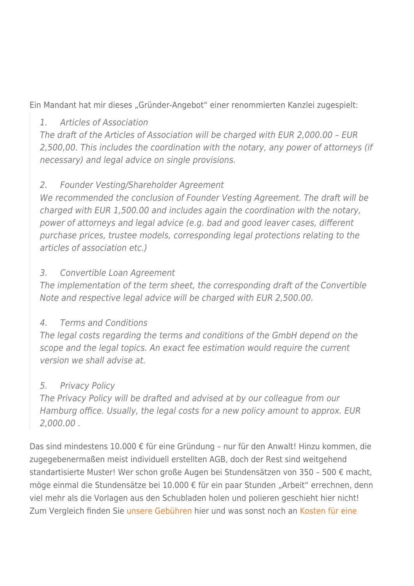Ein Mandant hat mir dieses "Gründer-Angebot" einer renommierten Kanzlei zugespielt:

#### 1. Articles of Association

The draft of the Articles of Association will be charged with EUR 2,000.00 – EUR 2,500,00. This includes the coordination with the notary, any power of attorneys (if necessary) and legal advice on single provisions.

### 2. Founder Vesting/Shareholder Agreement

We recommended the conclusion of Founder Vesting Agreement. The draft will be charged with EUR 1,500.00 and includes again the coordination with the notary, power of attorneys and legal advice (e.g. bad and good leaver cases, different purchase prices, trustee models, corresponding legal protections relating to the articles of association etc.)

#### 3. Convertible Loan Agreement

The implementation of the term sheet, the corresponding draft of the Convertible Note and respective legal advice will be charged with EUR 2,500.00.

# 4. Terms and Conditions

The legal costs regarding the terms and conditions of the GmbH depend on the scope and the legal topics. An exact fee estimation would require the current version we shall advise at.

# 5. Privacy Policy

The Privacy Policy will be drafted and advised at by our colleague from our Hamburg office. Usually, the legal costs for a new policy amount to approx. EUR 2,000.00 .

Das sind mindestens 10.000 € für eine Gründung – nur für den Anwalt! Hinzu kommen, die zugegebenermaßen meist individuell erstellten AGB, doch der Rest sind weitgehend standartisierte Muster! Wer schon große Augen bei Stundensätzen von 350 – 500 € macht, möge einmal die Stundensätze bei 10.000 € für ein paar Stunden "Arbeit" errechnen, denn viel mehr als die Vorlagen aus den Schubladen holen und polieren geschieht hier nicht! Zum Vergleich finden Sie [unsere Gebühren](https://streifflaw.de/preise/) hier und was sonst noch an [Kosten für eine](https://streifflaw.de/gmbh-gruenden-kosten/)